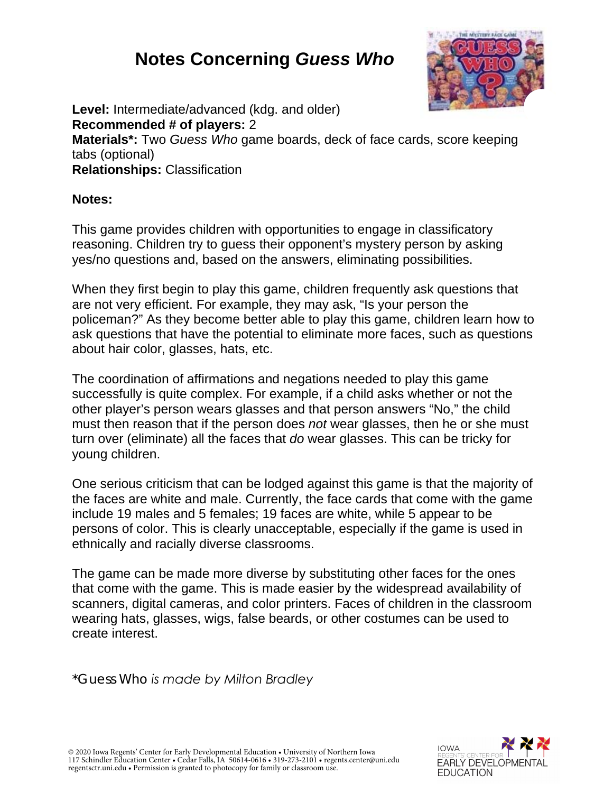# **Notes Concerning** *Guess Who*



**Level:** Intermediate/advanced (kdg. and older) **Recommended # of players:** 2 **Materials\*:** Two *Guess Who* game boards, deck of face cards, score keeping tabs (optional) **Relationships:** Classification

#### **Notes:**

This game provides children with opportunities to engage in classificatory reasoning. Children try to guess their opponent's mystery person by asking yes/no questions and, based on the answers, eliminating possibilities.

When they first begin to play this game, children frequently ask questions that are not very efficient. For example, they may ask, "Is your person the policeman?" As they become better able to play this game, children learn how to ask questions that have the potential to eliminate more faces, such as questions about hair color, glasses, hats, etc.

The coordination of affirmations and negations needed to play this game successfully is quite complex. For example, if a child asks whether or not the other player's person wears glasses and that person answers "No," the child must then reason that if the person does *not* wear glasses, then he or she must turn over (eliminate) all the faces that *do* wear glasses. This can be tricky for young children.

One serious criticism that can be lodged against this game is that the majority of the faces are white and male. Currently, the face cards that come with the game include 19 males and 5 females; 19 faces are white, while 5 appear to be persons of color. This is clearly unacceptable, especially if the game is used in ethnically and racially diverse classrooms.

The game can be made more diverse by substituting other faces for the ones that come with the game. This is made easier by the widespread availability of scanners, digital cameras, and color printers. Faces of children in the classroom wearing hats, glasses, wigs, false beards, or other costumes can be used to create interest.

*\*Guess Who is made by Milton Bradley*